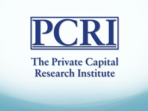

# The Private Capital<br>Research Institute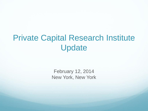### Private Capital Research Institute Update

February 12, 2014 New York, New York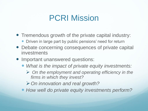#### PCRI Mission

- Tremendous growth of the private capital industry:
	- Driven in large part by public pensions' need for return
- Debate concerning consequences of private capital investments
- Important unanswered questions:
	- *What is the impact of private equity investments:*
		- *On the employment and operating efficiency in the firms in which they invest?*
		- *On innovation and real growth?*
	- *How well do private equity investments perform?*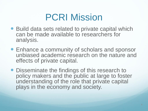## PCRI Mission

- Build data sets related to private capital which can be made available to researchers for analysis.
- Enhance a community of scholars and sponsor unbiased academic research on the nature and effects of private capital.
- Disseminate the findings of this research to policy makers and the public at large to foster understanding of the role that private capital plays in the economy and society.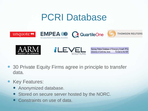## PCRI Database











Kenney-Patton Database of Emerging Growth IPOs University of California, Davis Funded by the NSF

- 30 Private Equity Firms agree in principle to transfer data.
- Key Features:
	- Anonymized database.
	- Stored on secure server hosted by the NORC.
	- Constraints on use of data.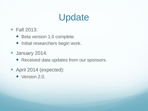# Update

- Fall 2013:
	- Beta version 1.0 complete.
	- Initial researchers begin work.
- January 2014:
	- Received data updates from our sponsors.
- April 2014 (expected):
	- Version 2.0.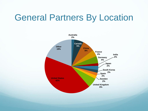## General Partners By Location

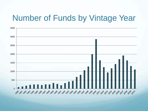#### Number of Funds by Vintage Year

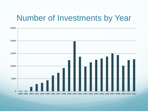#### Number of Investments by Year

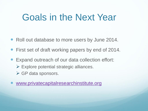## Goals in the Next Year

- Roll out database to more users by June 2014.
- First set of draft working papers by end of 2014.
- Expand outreach of our data collection effort:
	- $\triangleright$  Explore potential strategic alliances.
	- $\triangleright$  GP data sponsors.
- [www.privatecapitalresearchinstitute.org](http://www.privatecapitalresearchinstitute.org)